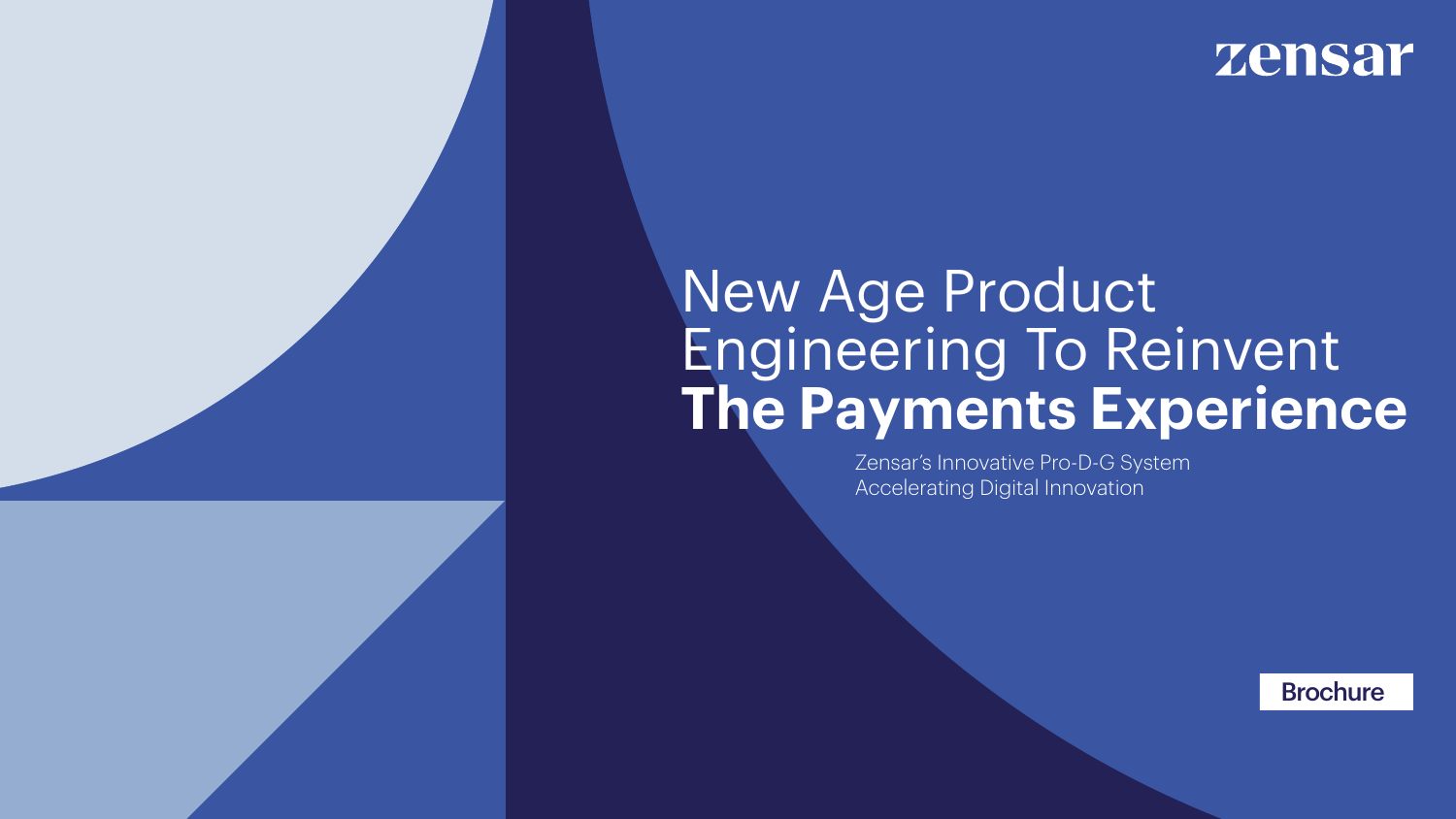

### zensar

Zensar's Innovative Pro-D-G System Accelerating Digital Innovation

> Brochure Brochure





# New Age Product Engineering To Reinvent **The Payments Experience**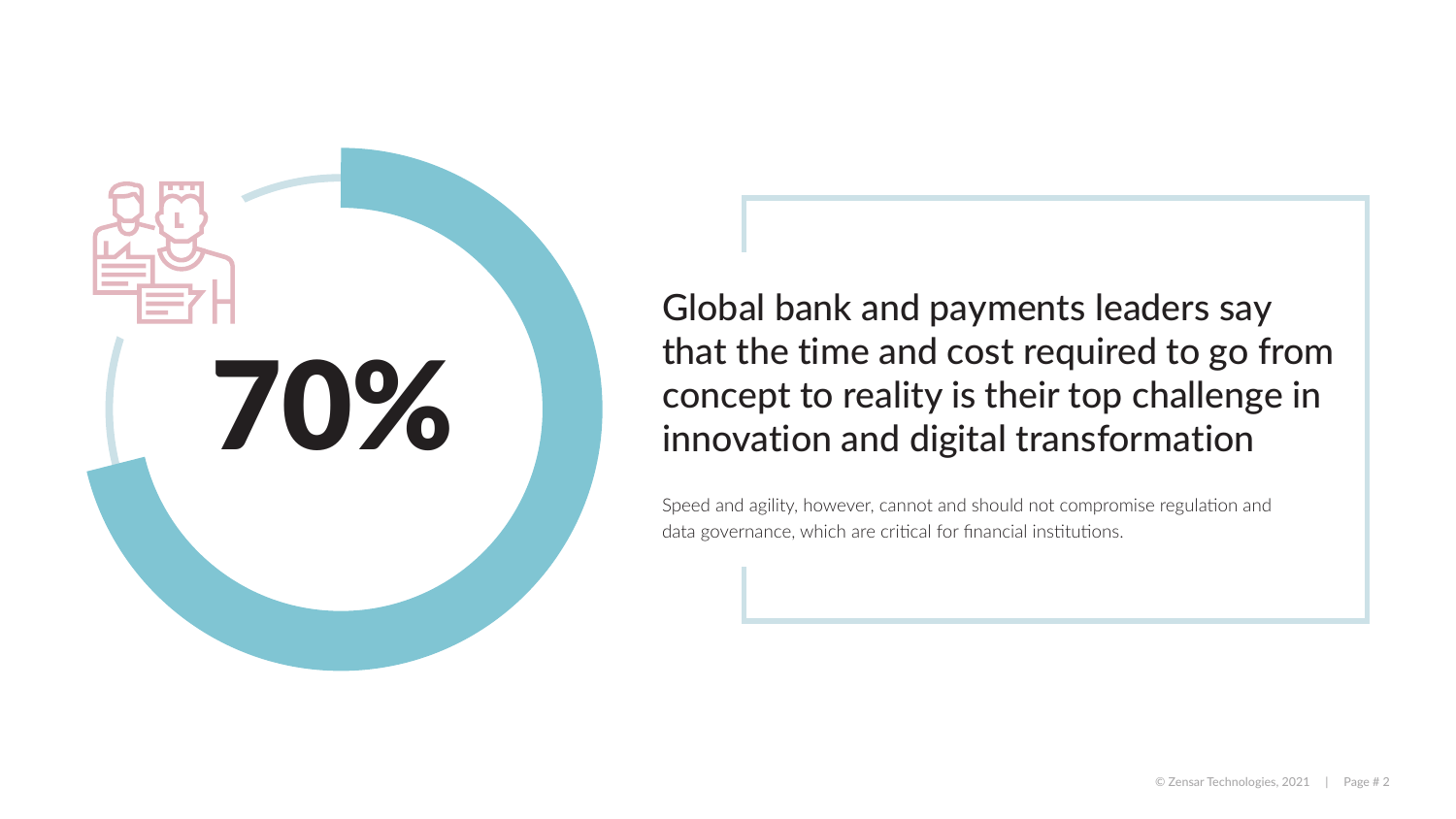



### Global bank and payments leaders say that the time and cost required to go from concept to reality is their top challenge in innovation and digital transformation

Speed and agility, however, cannot and should not compromise regulation and data governance, which are critical for financial institutions.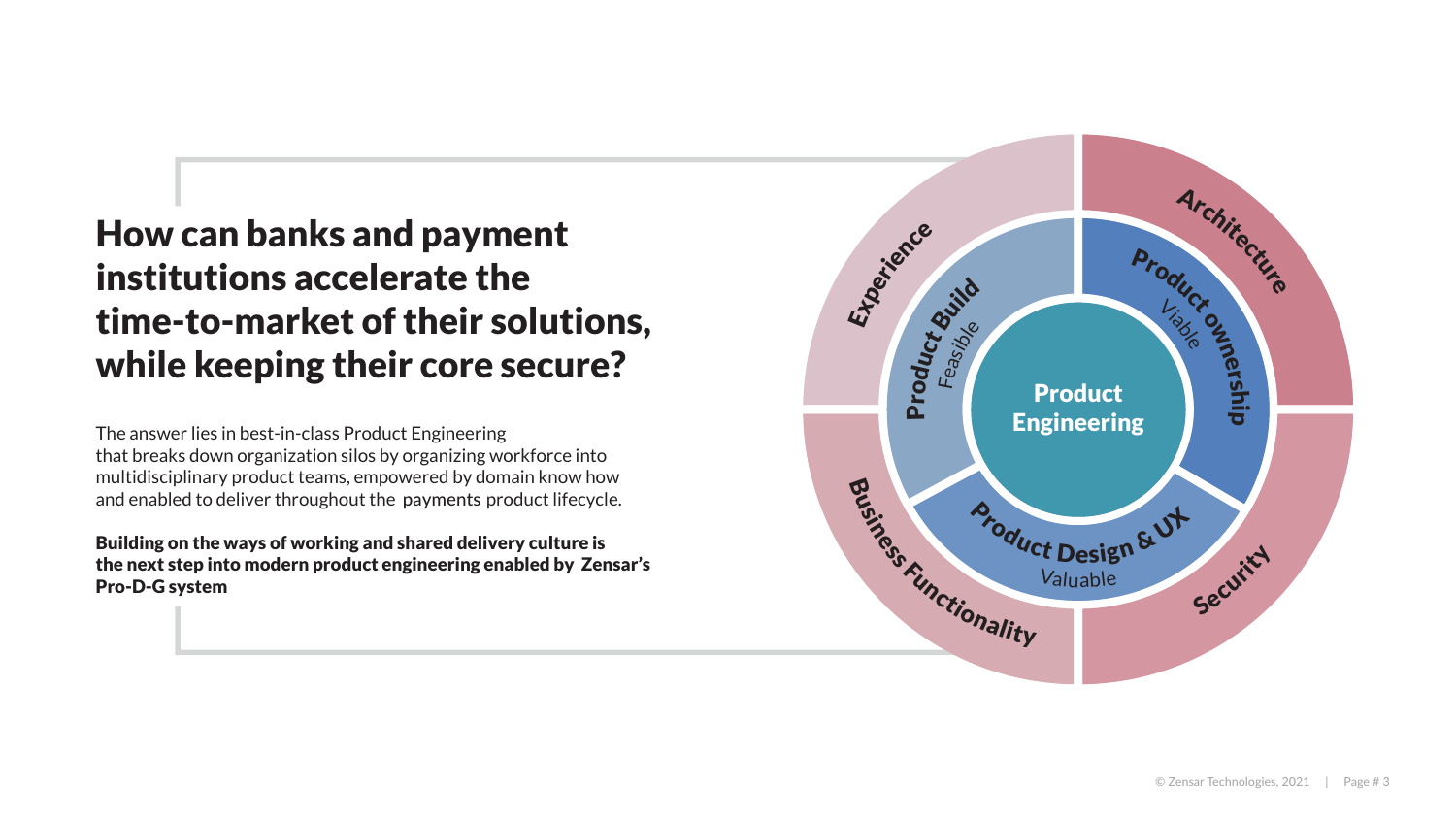### How can banks and payment institutions accelerate the time-to-market of their solutions, while keeping their core secure?

The answer lies in best-in-class Product Engineering that breaks down organization silos by organizing workforce into multidisciplinary product teams, empowered by domain know how and enabled to deliver throughout the payments product lifecycle.

Building on the ways of working and shared delivery culture is the next step into modern product engineering enabled by Zensar's Pro-D-G system

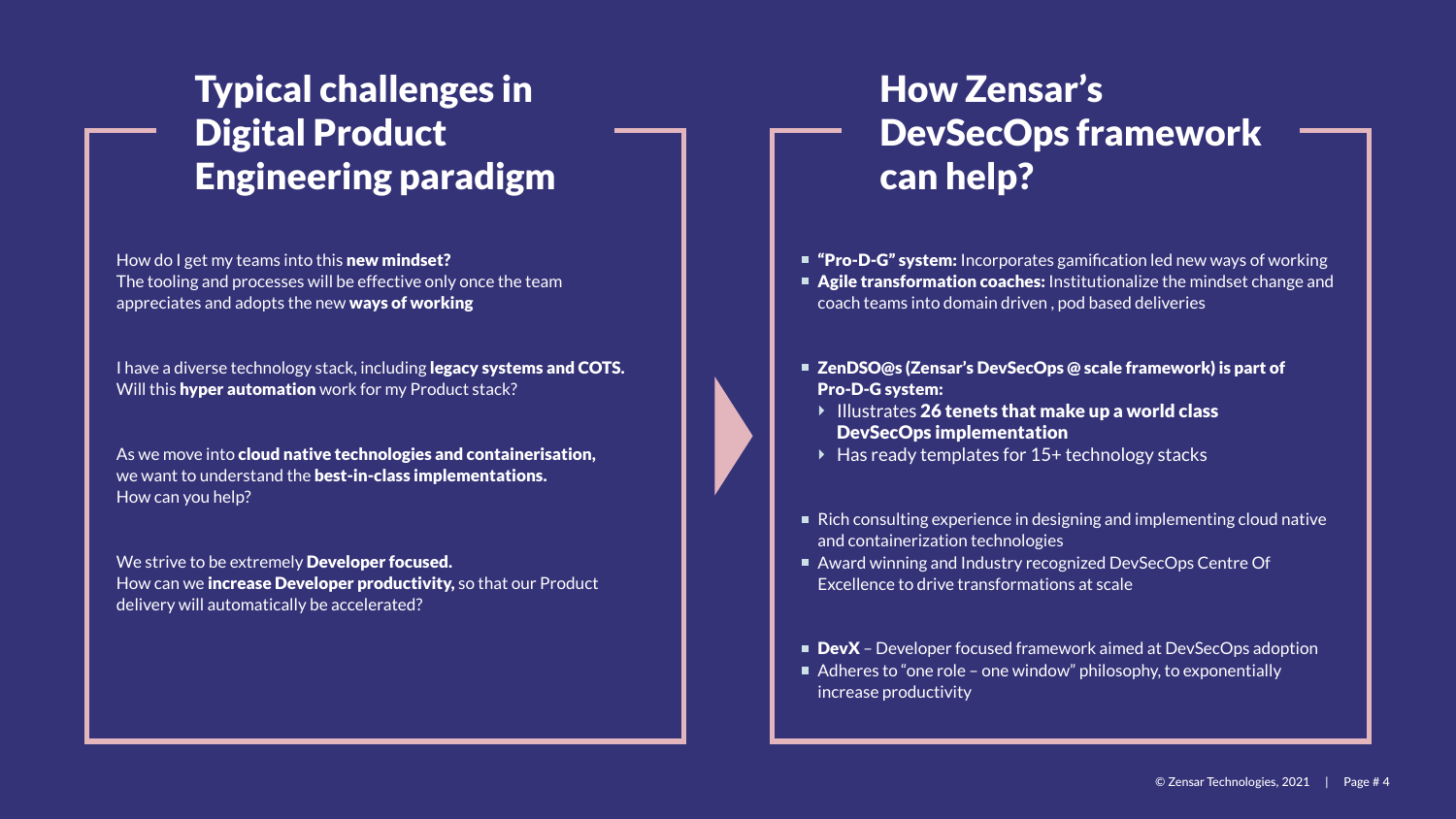

### Typical challenges in Digital Product Engineering paradigm

### How Zensar's DevSecOps framework can help?

How do I get my teams into this **new mindset?** The tooling and processes will be effective only once the team appreciates and adopts the new ways of working

I have a diverse technology stack, including legacy systems and COTS. Will this hyper automation work for my Product stack?

As we move into cloud native technologies and containerisation, we want to understand the best-in-class implementations. How can you help?

We strive to be extremely Developer focused. How can we increase Developer productivity, so that our Product delivery will automatically be accelerated?

- "Pro-D-G" system: Incorporates gamification led new ways of working
- **Agile transformation coaches:** Institutionalize the mindset change and coach teams into domain driven , pod based deliveries
- ZenDSO@s (Zensar's DevSecOps @ scale framework) is part of Pro-D-G system:
	- Illustrates 26 tenets that make up a world class DevSecOps implementation
	- ▶ Has ready templates for 15+ technology stacks
- Rich consulting experience in designing and implementing cloud native and containerization technologies
- Award winning and Industry recognized DevSecOps Centre Of Excellence to drive transformations at scale
- DevX Developer focused framework aimed at DevSecOps adoption
- Adheres to "one role one window" philosophy, to exponentially increase productivity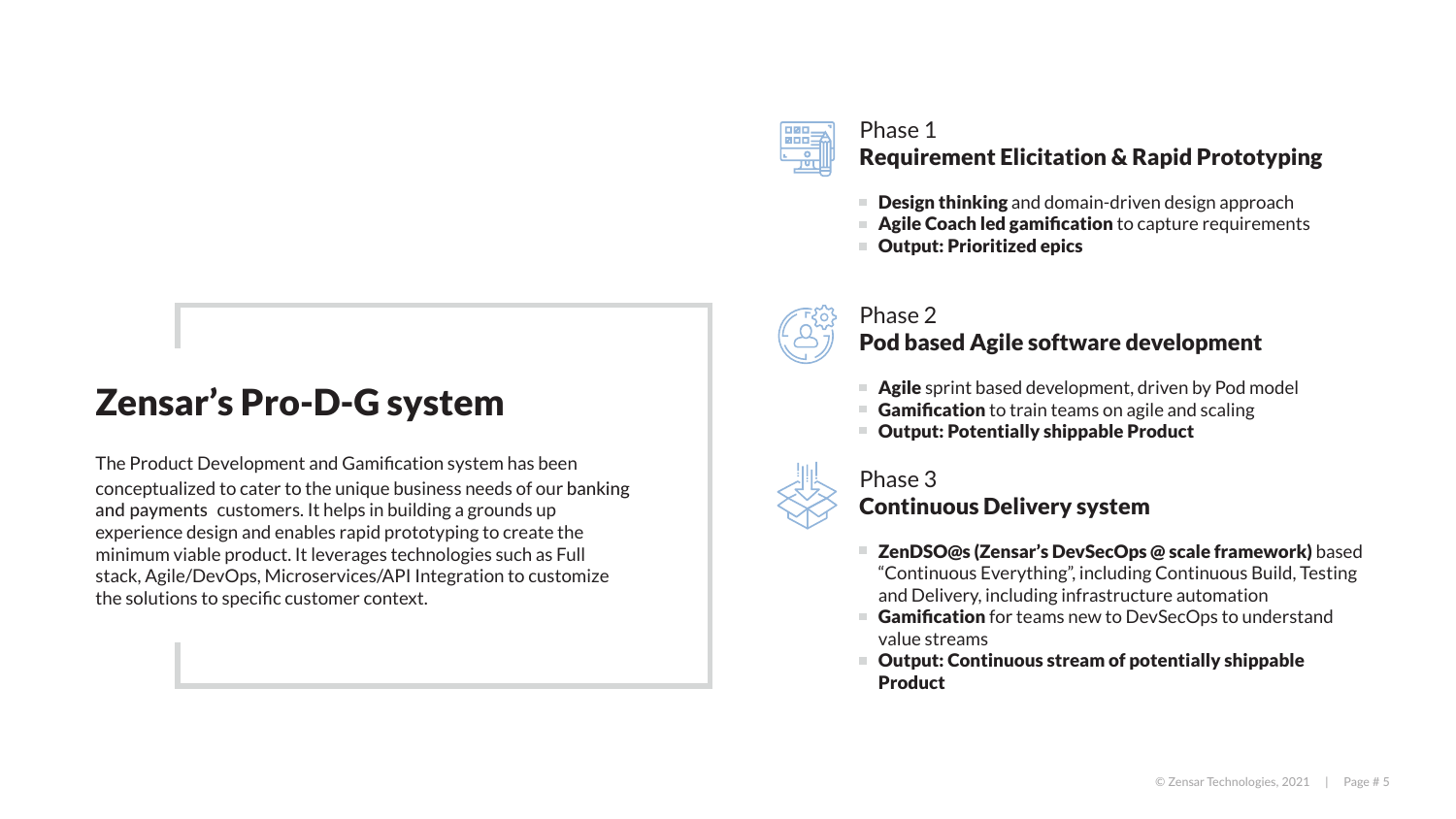### Zensar's Pro-D-G system

The Product Development and Gamification system has been conceptualized to cater to the unique business needs of our banking and payments customers. It helps in building a grounds up experience design and enables rapid prototyping to create the minimum viable product. It leverages technologies such as Full stack, Agile/DevOps, Microservices/API Integration to customize the solutions to specific customer context.



### Phase 1 Requirement Elicitation & Rapid Prototyping

- Design thinking and domain-driven design approach
- Agile Coach led gamification to capture requirements
- Output: Prioritized epics



### Phase 2 Pod based Agile software development

- Agile sprint based development, driven by Pod model
- Gamification to train teams on agile and scaling
- Output: Potentially shippable Product



### Phase 3 Continuous Delivery system

- ZenDSO@s (Zensar's DevSecOps @ scale framework) based "Continuous Everything", including Continuous Build, Testing and Delivery, including infrastructure automation
- Gamification for teams new to DevSecOps to understand value streams
- Output: Continuous stream of potentially shippable Product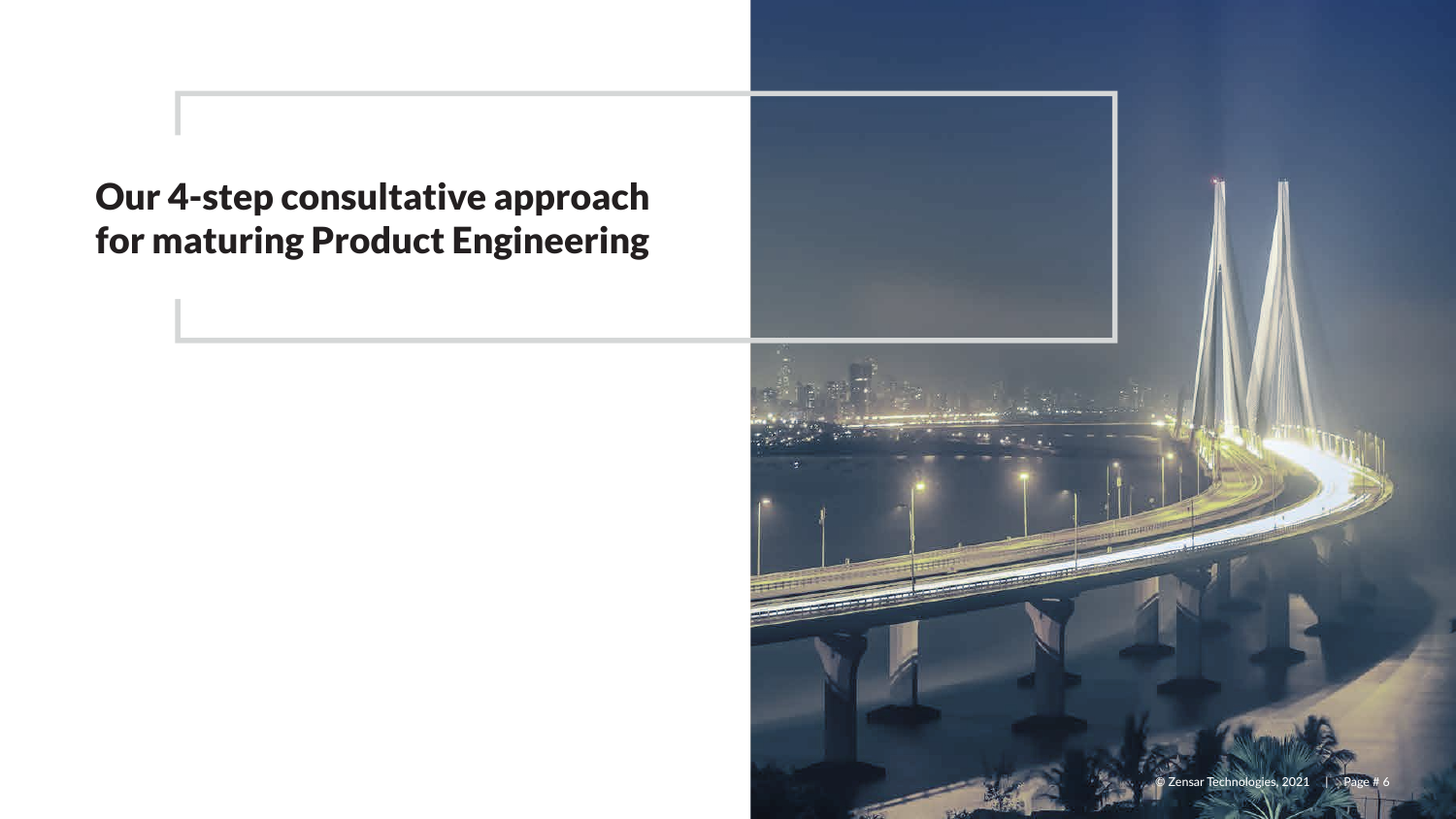



### Our 4-step consultative approach for maturing Product Engineering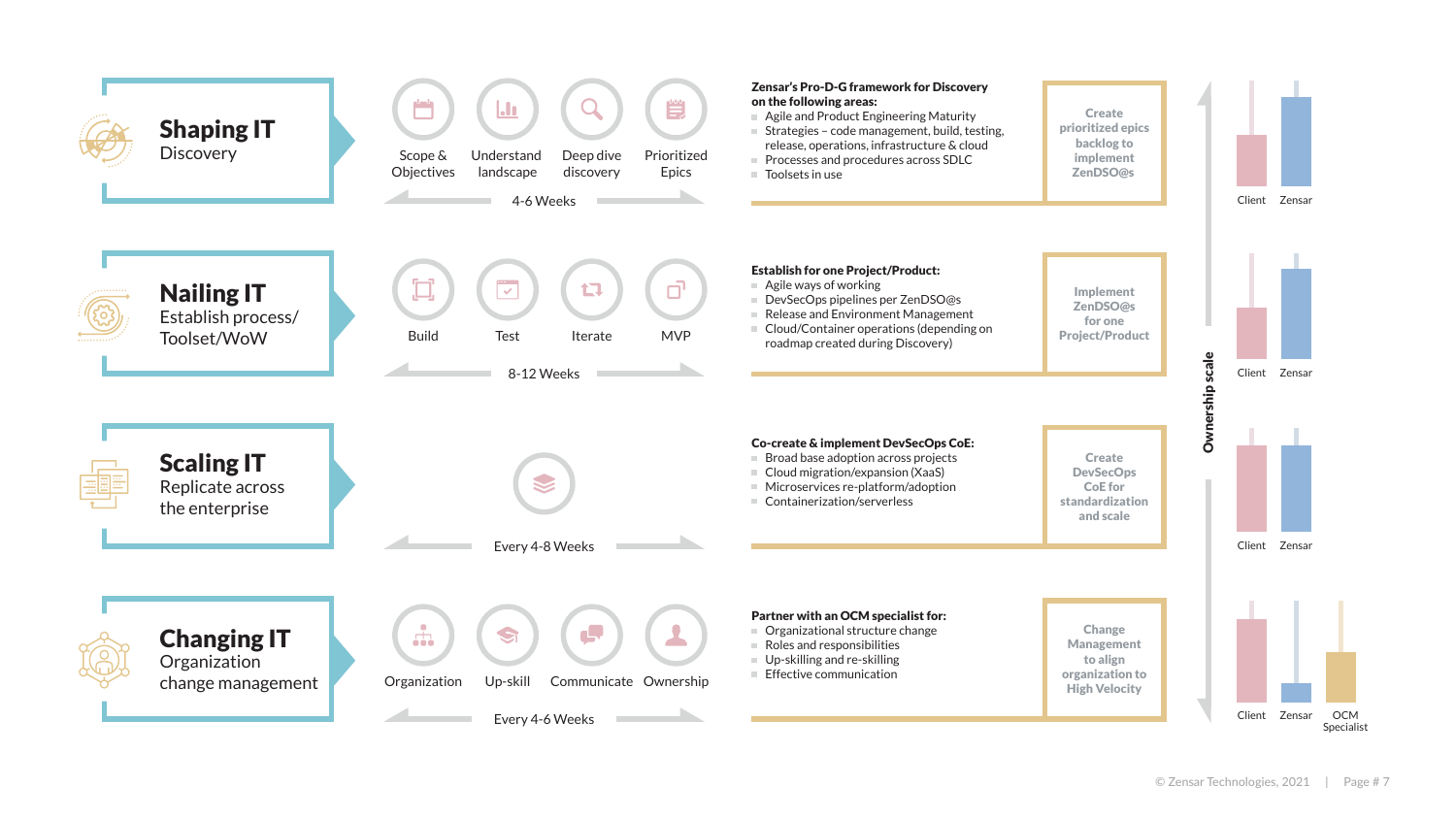

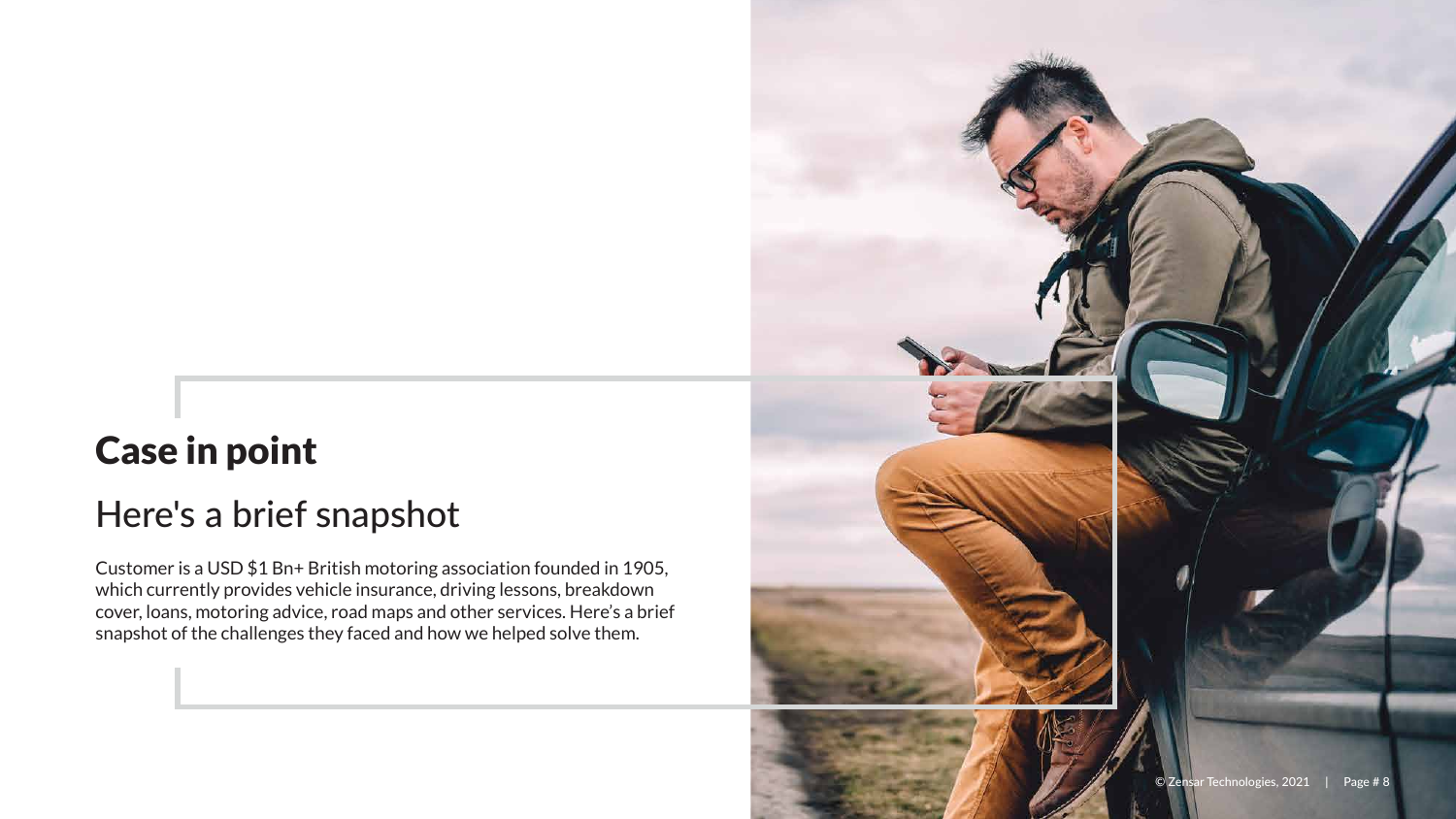

### Here's a brief snapshot

## Case in point

Customer is a USD \$1 Bn+ British motoring association founded in 1905, which currently provides vehicle insurance, driving lessons, breakdown cover, loans, motoring advice, road maps and other services. Here's a brief snapshot of the challenges they faced and how we helped solve them.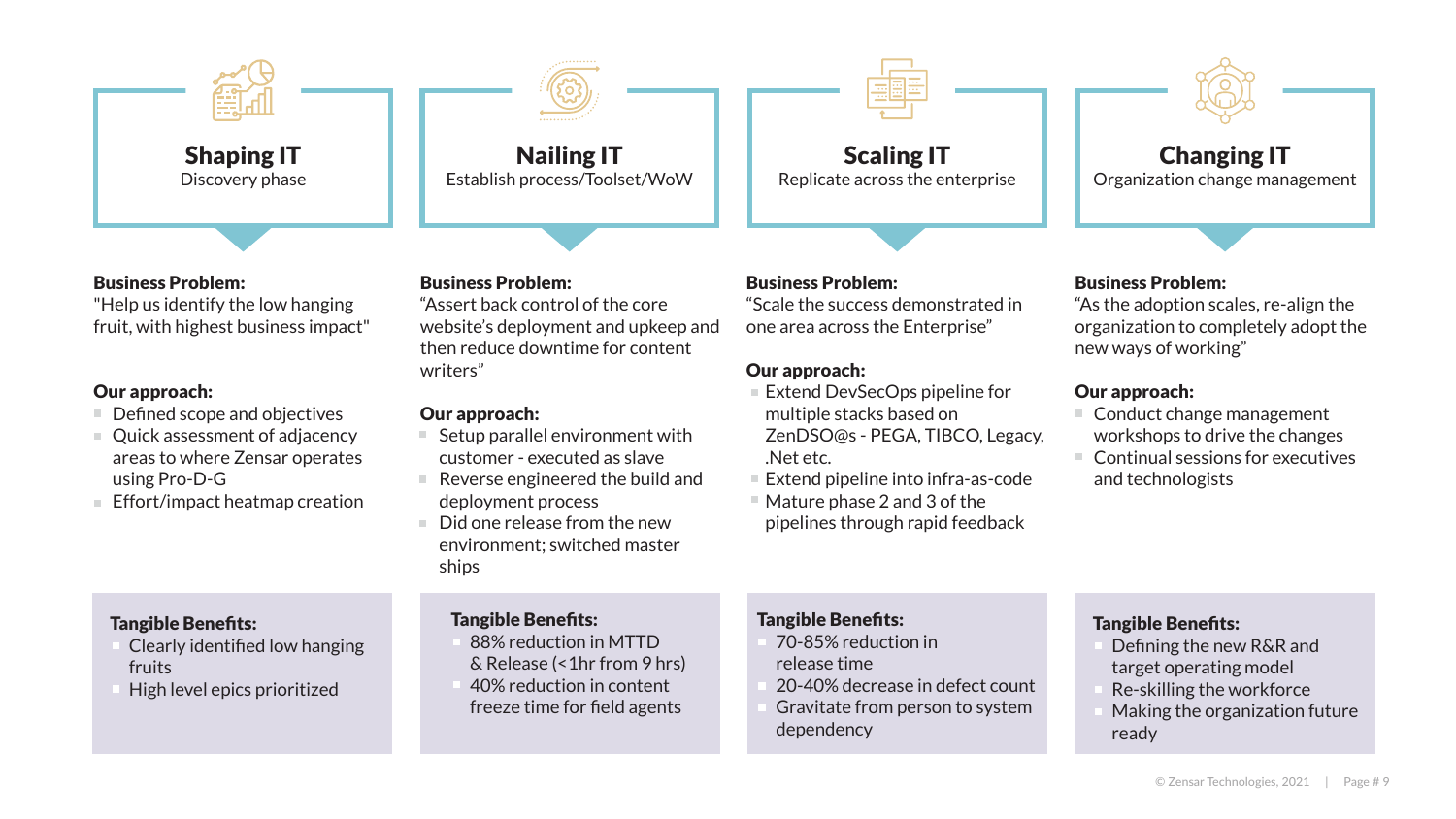

#### Business Problem:

"Assert back control of the core website's deployment and upkeep and then reduce downtime for content writers"

#### Our approach:

- Setup parallel environment with customer - executed as slave
- Reverse engineered the build and deployment process
- Did one release from the new environment; switched master ships

#### Nailing IT Establish process/Toolset/WoW

#### Tangible Benefits:

- Conduct change management workshops to drive the changes
- Continual sessions for executives and technologists

- 88% reduction in MTTD & Release (<1hr from 9 hrs)
- 40% reduction in content freeze time for field agents



Changing IT

Organization change management

#### Tangible Benefits:

- Extend DevSecOps pipeline for multiple stacks based on ZenDSO@s - PEGA, TIBCO, Legacy, .Net etc.
- Extend pipeline into infra-as-code
- Mature phase 2 and 3 of the pipelines through rapid feedback

- Defining the new R&R and target operating model
- Re-skilling the workforce
- Making the organization future ready

#### Business Problem:

"As the adoption scales, re-align the organization to completely adopt the new ways of working"

#### Our approach:

- Defined scope and objectives
- Quick assessment of adjacency areas to where Zensar operates using Pro-D-G
- Effort/impact heatmap creation

#### Business Problem:

"Scale the success demonstrated in one area across the Enterprise"

#### Our approach:

Scaling IT Replicate across the enterprise

#### Tangible Benefits:

- 70-85% reduction in release time
- 20-40% decrease in defect count
- Gravitate from person to system dependency





#### Tangible Benefits:

- Clearly identified low hanging fruits
- High level epics prioritized

#### Business Problem:

"Help us identify the low hanging fruit, with highest business impact"

#### Our approach: